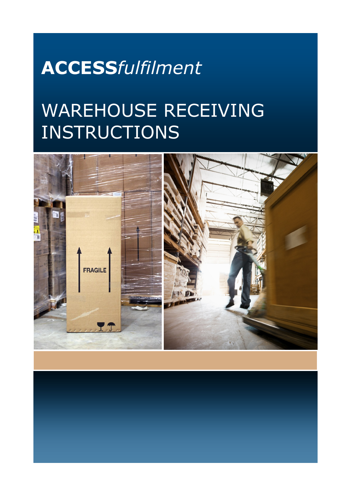## **ACCESS***fulfilment*

## WAREHOUSE RECEIVING **INSTRUCTIONS**

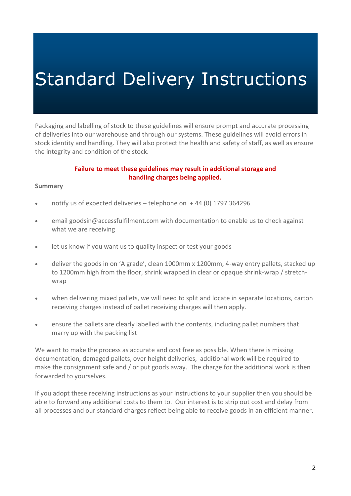Packaging and labelling of stock to these guidelines will ensure prompt and accurate processing of deliveries into our warehouse and through our systems. These guidelines will avoid errors in stock identity and handling. They will also protect the health and safety of staff, as well as ensure the integrity and condition of the stock.

### **Failure to meet these guidelines may result in additional storage and handling charges being applied.**

### **Summary**

- notify us of expected deliveries telephone on  $+44$  (0) 1797 364296
- email [goodsin@accessfulfilment.com](mailto:goodsin@accessfulfilment.com) with documentation to enable us to check against what we are receiving
- let us know if you want us to quality inspect or test your goods
- deliver the goods in on 'A grade', clean 1000mm x 1200mm, 4-way entry pallets, stacked up to 1200mm high from the floor, shrink wrapped in clear or opaque shrink-wrap / stretchwrap
- when delivering mixed pallets, we will need to split and locate in separate locations, carton receiving charges instead of pallet receiving charges will then apply.
- ensure the pallets are clearly labelled with the contents, including pallet numbers that marry up with the packing list

We want to make the process as accurate and cost free as possible. When there is missing documentation, damaged pallets, over height deliveries, additional work will be required to make the consignment safe and / or put goods away. The charge for the additional work is then forwarded to yourselves.

If you adopt these receiving instructions as your instructions to your supplier then you should be able to forward any additional costs to them to. Our interest is to strip out cost and delay from all processes and our standard charges reflect being able to receive goods in an efficient manner.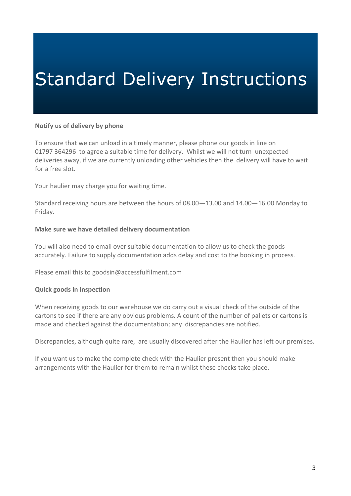### **Notify us of delivery by phone**

To ensure that we can unload in a timely manner, please phone our goods in line on 01797 364296 to agree a suitable time for delivery. Whilst we will not turn unexpected deliveries away, if we are currently unloading other vehicles then the delivery will have to wait for a free slot.

Your haulier may charge you for waiting time.

Standard receiving hours are between the hours of 08.00—13.00 and 14.00—16.00 Monday to Friday.

### **Make sure we have detailed delivery documentation**

You will also need to email over suitable documentation to allow us to check the goods accurately. Failure to supply documentation adds delay and cost to the booking in process.

Please email this to [goodsin@accessfulfilment.com](mailto:goodsin@accessfulfilment.com) 

### **Quick goods in inspection**

When receiving goods to our warehouse we do carry out a visual check of the outside of the cartons to see if there are any obvious problems. A count of the number of pallets or cartons is made and checked against the documentation; any discrepancies are notified.

Discrepancies, although quite rare, are usually discovered after the Haulier has left our premises.

If you want us to make the complete check with the Haulier present then you should make arrangements with the Haulier for them to remain whilst these checks take place.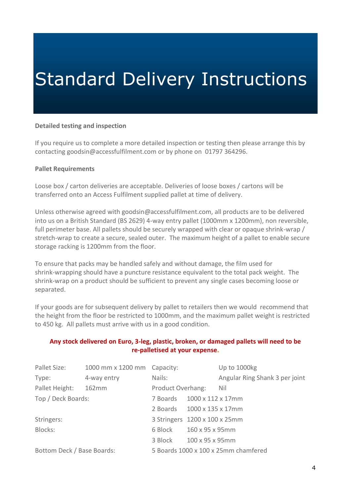### **Detailed testing and inspection**

If you require us to complete a more detailed inspection or testing then please arrange this by contacting [goodsin@accessfulfilment.com](mailto:goodsin@accessfulfilment.com) or by phone on 01797 364296.

### **Pallet Requirements**

Loose box / carton deliveries are acceptable. Deliveries of loose boxes / cartons will be transferred onto an Access Fulfilment supplied pallet at time of delivery.

Unless otherwise agreed with [goodsin@accessfulfilment.com,](mailto:goodsin@accessfulfilment.com) all products are to be delivered into us on a British Standard (BS 2629) 4-way entry pallet (1000mm x 1200mm), non reversible, full perimeter base. All pallets should be securely wrapped with clear or opaque shrink-wrap / stretch-wrap to create a secure, sealed outer. The maximum height of a pallet to enable secure storage racking is 1200mm from the floor.

To ensure that packs may be handled safely and without damage, the film used for shrink-wrapping should have a puncture resistance equivalent to the total pack weight. The shrink-wrap on a product should be sufficient to prevent any single cases becoming loose or separated.

If your goods are for subsequent delivery by pallet to retailers then we would recommend that the height from the floor be restricted to 1000mm, and the maximum pallet weight is restricted to 450 kg. All pallets must arrive with us in a good condition.

## **Any stock delivered on Euro, 3-leg, plastic, broken, or damaged pallets will need to be re-palletised at your expense.**

| Pallet Size:               | 1000 mm x 1200 mm Capacity: |                                      |                   | Up to 1000kg                   |
|----------------------------|-----------------------------|--------------------------------------|-------------------|--------------------------------|
| Type:                      | 4-way entry                 | Nails:                               |                   | Angular Ring Shank 3 per joint |
| Pallet Height:             | 162mm                       | Product Overhang:                    |                   | Nil                            |
| Top / Deck Boards:         |                             | 7 Boards                             | 1000 x 112 x 17mm |                                |
|                            |                             | 2 Boards                             | 1000 x 135 x 17mm |                                |
| Stringers:                 |                             | 3 Stringers 1200 x 100 x 25mm        |                   |                                |
| Blocks:                    |                             | 6 Block                              | 160 x 95 x 95mm   |                                |
|                            |                             | 3 Block                              | 100 x 95 x 95mm   |                                |
| Bottom Deck / Base Boards: |                             | 5 Boards 1000 x 100 x 25mm chamfered |                   |                                |